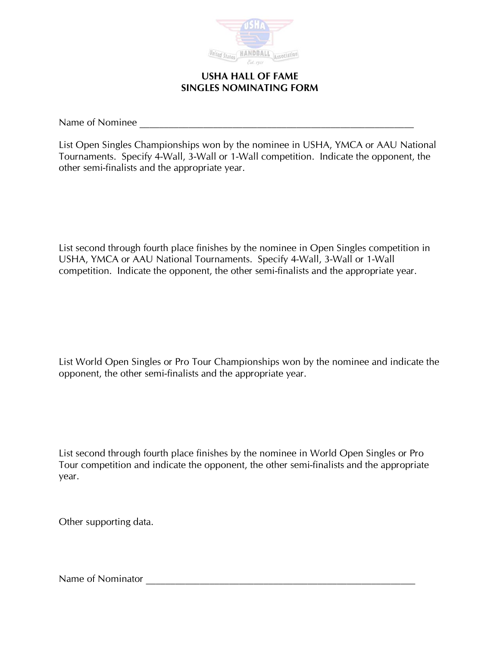

**USHA HALL OF FAME SINGLES NOMINATING FORM** 

Name of Nominee \_\_\_\_\_\_\_\_\_\_\_\_\_\_\_\_\_\_\_\_\_\_\_\_\_\_\_\_\_\_\_\_\_\_\_\_\_\_\_\_\_\_\_\_\_\_\_\_\_\_\_\_\_\_\_\_

List Open Singles Championships won by the nominee in USHA, YMCA or AAU National Tournaments. Specify 4-Wall, 3-Wall or 1-Wall competition. Indicate the opponent, the other semi-finalists and the appropriate year.

List second through fourth place finishes by the nominee in Open Singles competition in USHA, YMCA or AAU National Tournaments. Specify 4-Wall, 3-Wall or 1-Wall competition. Indicate the opponent, the other semi-finalists and the appropriate year.

List World Open Singles or Pro Tour Championships won by the nominee and indicate the opponent, the other semi-finalists and the appropriate year.

List second through fourth place finishes by the nominee in World Open Singles or Pro Tour competition and indicate the opponent, the other semi-finalists and the appropriate year.

Other supporting data.

Name of Nominator \_\_\_\_\_\_\_\_\_\_\_\_\_\_\_\_\_\_\_\_\_\_\_\_\_\_\_\_\_\_\_\_\_\_\_\_\_\_\_\_\_\_\_\_\_\_\_\_\_\_\_\_\_\_\_